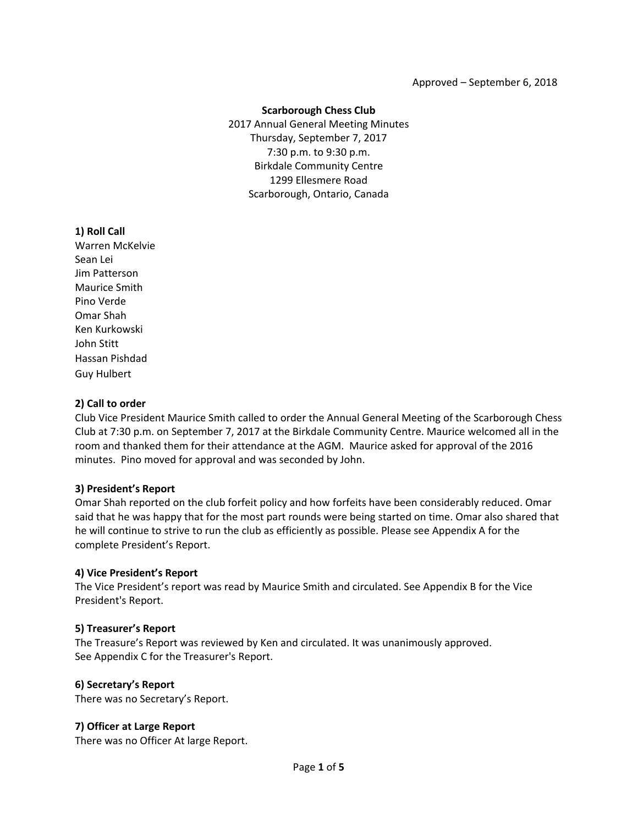#### **Scarborough Chess Club**

2017 Annual General Meeting Minutes Thursday, September 7, 2017 7:30 p.m. to 9:30 p.m. Birkdale Community Centre 1299 Ellesmere Road Scarborough, Ontario, Canada

## **1) Roll Call**

Warren McKelvie Sean Lei Jim Patterson Maurice Smith Pino Verde Omar Shah Ken Kurkowski John Stitt Hassan Pishdad Guy Hulbert

## **2) Call to order**

Club Vice President Maurice Smith called to order the Annual General Meeting of the Scarborough Chess Club at 7:30 p.m. on September 7, 2017 at the Birkdale Community Centre. Maurice welcomed all in the room and thanked them for their attendance at the AGM. Maurice asked for approval of the 2016 minutes. Pino moved for approval and was seconded by John.

## **3) President's Report**

Omar Shah reported on the club forfeit policy and how forfeits have been considerably reduced. Omar said that he was happy that for the most part rounds were being started on time. Omar also shared that he will continue to strive to run the club as efficiently as possible. Please see Appendix A for the complete President's Report.

## **4) Vice President's Report**

The Vice President's report was read by Maurice Smith and circulated. See Appendix B for the Vice President's Report.

## **5) Treasurer's Report**

The Treasure's Report was reviewed by Ken and circulated. It was unanimously approved. See Appendix C for the Treasurer's Report.

## **6) Secretary's Report**

There was no Secretary's Report.

## **7) Officer at Large Report**

There was no Officer At large Report.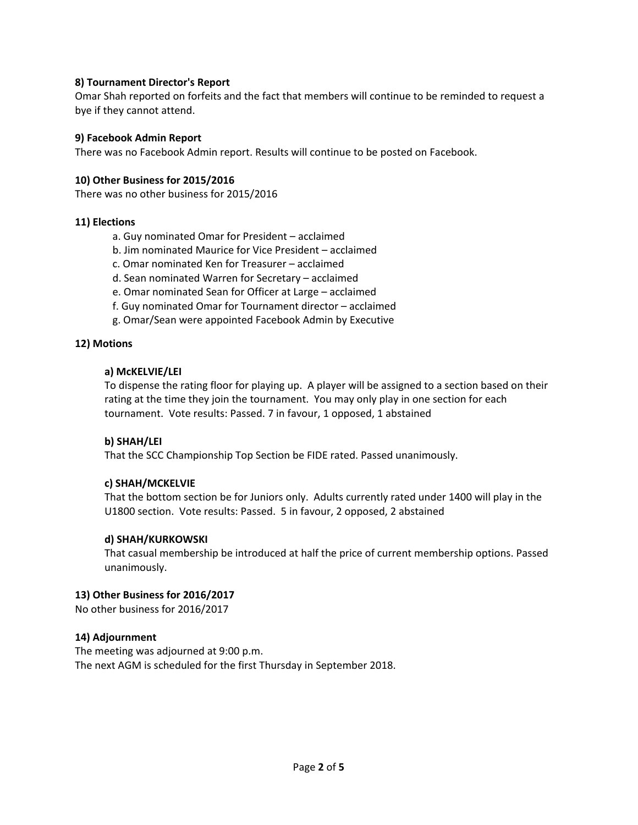## **8) Tournament Director's Report**

Omar Shah reported on forfeits and the fact that members will continue to be reminded to request a bye if they cannot attend.

## **9) Facebook Admin Report**

There was no Facebook Admin report. Results will continue to be posted on Facebook.

#### **10) Other Business for 2015/2016**

There was no other business for 2015/2016

#### **11) Elections**

a. Guy nominated Omar for President – acclaimed

- b. Jim nominated Maurice for Vice President acclaimed
- c. Omar nominated Ken for Treasurer acclaimed
- d. Sean nominated Warren for Secretary acclaimed
- e. Omar nominated Sean for Officer at Large acclaimed
- f. Guy nominated Omar for Tournament director acclaimed
- g. Omar/Sean were appointed Facebook Admin by Executive

#### **12) Motions**

#### **a) McKELVIE/LEI**

To dispense the rating floor for playing up. A player will be assigned to a section based on their rating at the time they join the tournament. You may only play in one section for each tournament. Vote results: Passed. 7 in favour, 1 opposed, 1 abstained

## **b) SHAH/LEI**

That the SCC Championship Top Section be FIDE rated. Passed unanimously.

## **c) SHAH/MCKELVIE**

That the bottom section be for Juniors only. Adults currently rated under 1400 will play in the U1800 section. Vote results: Passed. 5 in favour, 2 opposed, 2 abstained

#### **d) SHAH/KURKOWSKI**

That casual membership be introduced at half the price of current membership options. Passed unanimously.

#### **13) Other Business for 2016/2017**

No other business for 2016/2017

## **14) Adjournment**

The meeting was adjourned at 9:00 p.m. The next AGM is scheduled for the first Thursday in September 2018.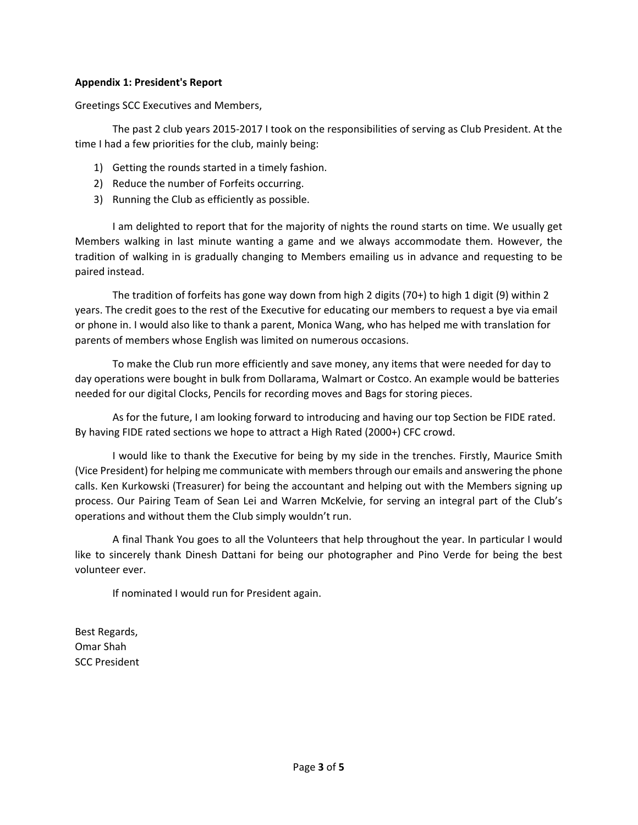## **Appendix 1: President's Report**

Greetings SCC Executives and Members,

The past 2 club years 2015-2017 I took on the responsibilities of serving as Club President. At the time I had a few priorities for the club, mainly being:

- 1) Getting the rounds started in a timely fashion.
- 2) Reduce the number of Forfeits occurring.
- 3) Running the Club as efficiently as possible.

I am delighted to report that for the majority of nights the round starts on time. We usually get Members walking in last minute wanting a game and we always accommodate them. However, the tradition of walking in is gradually changing to Members emailing us in advance and requesting to be paired instead.

The tradition of forfeits has gone way down from high 2 digits (70+) to high 1 digit (9) within 2 years. The credit goes to the rest of the Executive for educating our members to request a bye via email or phone in. I would also like to thank a parent, Monica Wang, who has helped me with translation for parents of members whose English was limited on numerous occasions.

To make the Club run more efficiently and save money, any items that were needed for day to day operations were bought in bulk from Dollarama, Walmart or Costco. An example would be batteries needed for our digital Clocks, Pencils for recording moves and Bags for storing pieces.

As for the future, I am looking forward to introducing and having our top Section be FIDE rated. By having FIDE rated sections we hope to attract a High Rated (2000+) CFC crowd.

I would like to thank the Executive for being by my side in the trenches. Firstly, Maurice Smith (Vice President) for helping me communicate with members through our emails and answering the phone calls. Ken Kurkowski (Treasurer) for being the accountant and helping out with the Members signing up process. Our Pairing Team of Sean Lei and Warren McKelvie, for serving an integral part of the Club's operations and without them the Club simply wouldn't run.

A final Thank You goes to all the Volunteers that help throughout the year. In particular I would like to sincerely thank Dinesh Dattani for being our photographer and Pino Verde for being the best volunteer ever.

If nominated I would run for President again.

Best Regards, Omar Shah SCC President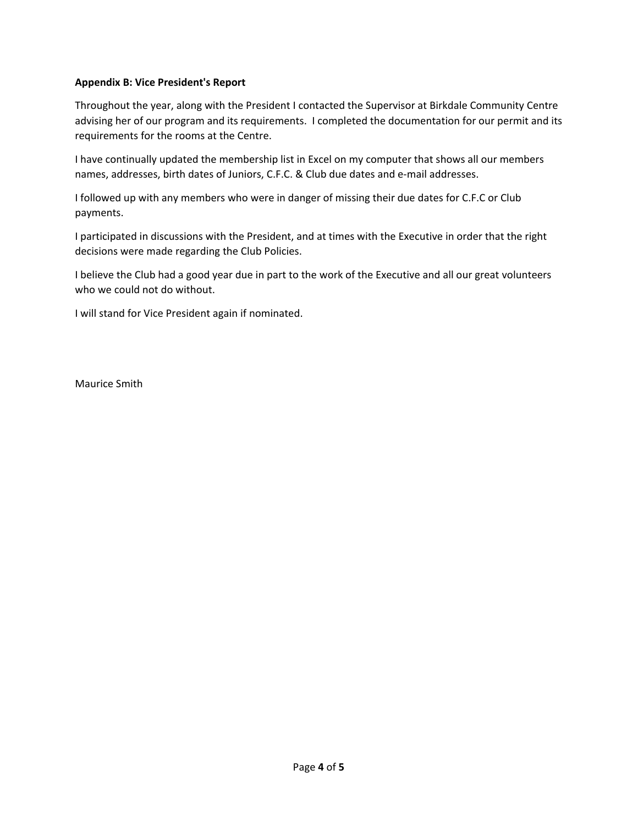## **Appendix B: Vice President's Report**

Throughout the year, along with the President I contacted the Supervisor at Birkdale Community Centre advising her of our program and its requirements. I completed the documentation for our permit and its requirements for the rooms at the Centre.

I have continually updated the membership list in Excel on my computer that shows all our members names, addresses, birth dates of Juniors, C.F.C. & Club due dates and e-mail addresses.

I followed up with any members who were in danger of missing their due dates for C.F.C or Club payments.

I participated in discussions with the President, and at times with the Executive in order that the right decisions were made regarding the Club Policies.

I believe the Club had a good year due in part to the work of the Executive and all our great volunteers who we could not do without.

I will stand for Vice President again if nominated.

Maurice Smith